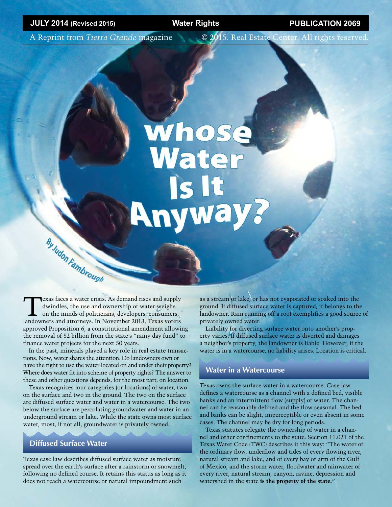A Reprint from *Tierra Grande* magazine © 2015. Real Estate Center. All rights reserved.

## **Whose**<br>Water Is It **Rnyway?**

Texas faces a water crisis. As demand rises and supply<br>dwindles, the use and ownership of water weighs<br>on the minds of politicians, developers, consumers,<br>landowners and atternates. In November 2013, Torsumers, dwindles, the use and ownership of water weighs on the minds of politicians, developers, consumers, landowners and attorneys. In November 2013, Texas voters approved Proposition 6, a constitutional amendment allowing the removal of \$2 billion from the state's "rainy day fund" to finance water projects for the next 50 years.

In the past, minerals played a key role in real estate transactions. Now, water shares the attention. Do landowners own or have the right to use the water located on and under their property? Where does water fit into scheme of property rights? The answer to these and other questions depends, for the most part, on location.

Texas recognizes four categories (or locations) of water, two on the surface and two in the ground. The two on the surface are diffused surface water and water in a watercourse. The two below the surface are percolating groundwater and water in an underground stream or lake. While the state owns most surface water, most, if not all, groundwater is privately owned.

#### **Diffused Surface Water**

**By Judon Fambrough** 

Texas case law describes diffused surface water as moisture spread over the earth's surface after a rainstorm or snowmelt, following no defined course. It retains this status as long as it does not reach a watercourse or natural impoundment such

as a stream or lake, or has not evaporated or soaked into the ground. If diffused surface water is captured, it belongs to the landowner. Rain running off a roof exemplifies a good source of privately owned water.

Liability for diverting surface water onto another's property varies. If diffused surface water is diverted and damages a neighbor's property, the landowner is liable. However, if the water is in a watercourse, no liability arises. Location is critical.

#### **Water in a Watercourse**

Texas owns the surface water in a watercourse. Case law defines a watercourse as a channel with a defined bed, visible banks and an intermittent flow (supply) of water. The channel can be reasonably defined and the flow seasonal. The bed and banks can be slight, imperceptible or even absent in some cases. The channel may be dry for long periods.

Texas statutes relegate the ownership of water in a channel and other confinements to the state. Section 11.021 of the Texas Water Code (TWC) describes it this way: "The water of the ordinary flow, underflow and tides of every flowing river, natural stream and lake, and of every bay or arm of the Gulf of Mexico, and the storm water, floodwater and rainwater of every river, natural stream, canyon, ravine, depression and watershed in the state **is the property of the state.**"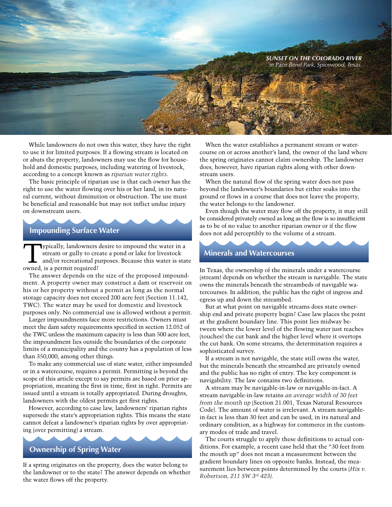

While landowners do not own this water, they have the right to use it for limited purposes. If a flowing stream is located on or abuts the property, landowners may use the flow for household and domestic purposes, including watering of livestock, according to a concept known as *riparian water rights*.

The basic principle of riparian use is that each owner has the right to use the water flowing over his or her land, in its natural current, without diminution or obstruction. The use must be beneficial and reasonable but may not inflict undue injury on downstream users.

#### **Impounding Surface Water**

Typically, landowners desire to impound the water in a stream or gully to create a pond or lake for livestock and/or recreational purposes. Because this water is state owned, is a permit required?

The answer depends on the size of the proposed impoundment. A property owner may construct a dam or reservoir on his or her property without a permit as long as the normal storage capacity does not exceed 200 acre feet (Section 11.142, TWC). The water may be used for domestic and livestock purposes only. No commercial use is allowed without a permit.

Larger impoundments face more restrictions. Owners must meet the dam safety requirements specified in section 12.052 of the TWC unless the maximum capacity is less than 500 acre feet, the impoundment lies outside the boundaries of the corporate limits of a municipality and the county has a population of less than 350,000, among other things.

To make any commercial use of state water, either impounded or in a watercourse, requires a permit. Permitting is beyond the scope of this article except to say permits are based on prior appropriation, meaning the first in time, first in right. Permits are issued until a stream is totally appropriated. During droughts, landowners with the oldest permits get first rights.

However, according to case law, landowners' riparian rights supersede the state's appropriation rights. This means the state cannot defeat a landowner's riparian rights by over appropriating (over permitting) a stream.

#### **Ownership of Spring Water**

If a spring originates on the property, does the water belong to the landowner or to the state? The answer depends on whether the water flows off the property.

When the water establishes a permanent stream or watercourse on or across another's land, the owner of the land where the spring originates cannot claim ownership. The landowner does, however, have riparian rights along with other downstream users.

When the natural flow of the spring water does not pass beyond the landowner's boundaries but either soaks into the ground or flows in a course that does not leave the property, the water belongs to the landowner.

Even though the water may flow off the property, it may still be considered privately owned as long as the flow is so insufficient as to be of no value to another riparian owner or if the flow does not add perceptibly to the volume of a stream.

#### **Minerals and Watercourses**

In Texas, the ownership of the minerals under a watercourse (stream) depends on whether the stream is navigable. The state owns the minerals beneath the streambeds of navigable watercourses. In addition, the public has the right of ingress and egress up and down the streambed.

But at what point on navigable streams does state ownership end and private property begin? Case law places the point at the gradient boundary line. This point lies midway between where the lower level of the flowing water just reaches (touches) the cut bank and the higher level where it overtops the cut bank. On some streams, the determination requires a sophisticated survey.

If a stream is not navigable, the state still owns the water, but the minerals beneath the streambed are privately owned and the public has no right of entry. The key component is navigability. The law contains two definitions.

A stream may be navigable-in-law or navigable-in-fact. A stream navigable-in-law retains *an average width of 30 feet from the mouth up* (Section 21.001, Texas Natural Resources Code). The amount of water is irrelevant. A stream navigablein-fact is less than 30 feet and can be used, in its natural and ordinary condition, as a highway for commerce in the customary modes of trade and travel.

The courts struggle to apply these definitions to actual conditions. For example, a recent case held that the "30 feet from the mouth up" does not mean a measurement between the gradient boundary lines on opposite banks. Instead, the measurement lies between points determined by the courts (*Hix v. Robertson, 211 SW 3rd 423).*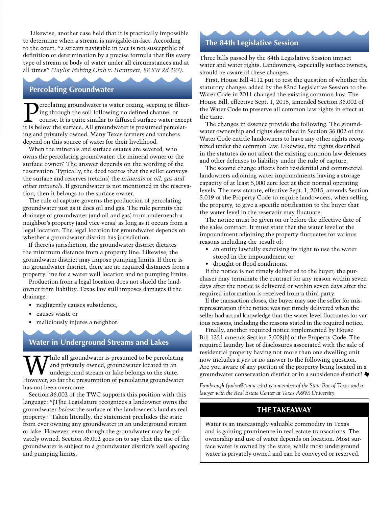Likewise, another case held that it is practically impossible to determine when a stream is navigable-in-fact. According to the court, "a stream navigable in fact is not susceptible of definition or determination by a precise formula that fits every type of stream or body of water under all circumstances and at all times" *(Taylor Fishing Club v. Hammett, 88 SW 2d 127).*

#### **Percolating Groundwater**

ercolating groundwater is water oozing, seeping or filtering through the soil following no defined channel or course. It is quite similar to diffused surface water except it is below the surface. All groundwater is presumed percolating and privately owned. Many Texas farmers and ranchers depend on this source of water for their livelihood.

When the minerals and surface estates are severed, who owns the percolating groundwater: the mineral owner or the surface owner? The answer depends on the wording of the reservation. Typically, the deed recites that the seller conveys the surface and reserves (retains) the *minerals* or *oil, gas and other minerals*. If groundwater is not mentioned in the reservation, then it belongs to the surface owner.

The rule of capture governs the production of percolating groundwater just as it does oil and gas. The rule permits the drainage of groundwater (and oil and gas) from underneath a neighbor's property (and vice versa) as long as it occurs from a legal location. The legal location for groundwater depends on whether a groundwater district has jurisdiction.

If there is jurisdiction, the groundwater district dictates the minimum distance from a property line. Likewise, the groundwater district may impose pumping limits. If there is no groundwater district, there are no required distances from a property line for a water well location and no pumping limits.

Production from a legal location does not shield the landowner from liability. Texas law still imposes damages if the drainage:

- negligently causes subsidence,
- causes waste or
- maliciously injures a neighbor.

#### **Water in Underground Streams and Lakes**

Thile all groundwater is presumed to be percolating and privately owned, groundwater located in an underground stream or lake belongs to the state. However, so far the presumption of percolating groundwater has not been overcome.

Section 36.002 of the TWC supports this position with this language: "(T)he Legislature recognizes a landowner owns the groundwater *below* the surface of the landowner's land as real property." Taken literally, the statement precludes the state from ever owning any groundwater in an underground stream or lake. However, even though the groundwater may be privately owned, Section 36.002 goes on to say that the use of the groundwater is subject to a groundwater district's well spacing and pumping limits.

#### **The 84th Legislative Session**

Three bills passed by the 84th Legislative Session impact water and water rights. Landowners, especially surface owners, should be aware of these changes.

First, House Bill 4112 put to rest the question of whether the statutory changes added by the 82nd Legislative Session to the Water Code in 2011 changed the existing common law. The House Bill, effective Sept. 1, 2015, amended Section 36.002 of the Water Code to preserve all common law rights in effect at the time.

The changes in essence provide the following. The groundwater ownership and rights described in Section 36.002 of the Water Code entitle landowners to have any other rights recognized under the common law. Likewise, the rights described in the statutes do not affect the existing common law defenses and other defenses to liability under the rule of capture.

The second change affects both residential and commercial landowners adjoining water impoundments having a storage capacity of at least 5,000 acre feet at their normal operating levels. The new statute, effective Sept. 1, 2015, amends Section 5.019 of the Property Code to require landowners, when selling the property, to give a specific notification to the buyer that the water level in the reservoir may fluctuate.

The notice must be given on or before the effective date of the sales contract. It must state that the water level of the impoundment adjoining the property fluctuates for various reasons including the result of:

- an entity lawfully exercising its right to use the water stored in the impoundment or
- drought or flood conditions.

If the notice is not timely delivered to the buyer, the purchaser may terminate the contract for any reason within seven days after the notice is delivered or within seven days after the required information is received from a third party.

If the transaction closes, the buyer may sue the seller for misrepresentation if the notice was not timely delivered when the seller had actual knowledge that the water level fluctuates for various reasons, including the reasons stated in the required notice.

Finally, another required notice implemented by House Bill 1221 amends Section 5.008(b) of the Property Code. The required laundry list of disclosures associated with the sale of residential property having not more than one dwelling unit now includes a *yes* or *no* answer to the following question. Are you aware of any portion of the property being located in a groundwater conservation district or in a subsidence district?

*Fambrough [\(judon@tamu.edu](mailto:judon@tamu.edu)) is a member of the State Bar of Texas and a lawyer with the Real Estate Center at Texas A&M University.* 

#### **THE TAKEAWAY**

Water is an increasingly valuable commodity in Texas and is gaining prominence in real estate transactions. The ownership and use of water depends on location. Most surface water is owned by the state, while most underground water is privately owned and can be conveyed or reserved.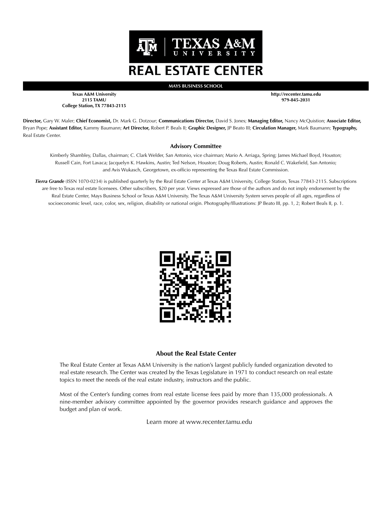

**MAYS BUSINESS SCHOOL**

**Texas A&M University 2115 TAMU College Station, TX 77843-2115** **http://recenter.tamu.edu 979-845-2031**

**Director,** Gary W. Maler; **Chief Economist,** Dr. Mark G. Dotzour; **Communications Director,** David S. Jones; **Managing Editor,** Nancy McQuistion; **Associate Editor,**  Bryan Pope; **Assistant Editor,** Kammy Baumann; **Art Director,** Robert P. Beals II; **Graphic Designer,** JP Beato III; **Circulation Manager,** Mark Baumann; **Typography,** Real Estate Center.

#### **Advisory Committee**

Kimberly Shambley, Dallas, chairman; C. Clark Welder, San Antonio, vice chairman; Mario A. Arriaga, Spring; James Michael Boyd, Houston; Russell Cain, Fort Lavaca; Jacquelyn K. Hawkins, Austin; Ted Nelson, Houston; Doug Roberts, Austin; Ronald C. Wakefield, San Antonio; and Avis Wukasch, Georgetown, ex-officio representing the Texas Real Estate Commission.

*Tierra Grande* (ISSN 1070-0234) is published quarterly by the Real Estate Center at Texas A&M University, College Station, Texas 77843-2115. Subscriptions are free to Texas real estate licensees. Other subscribers, \$20 per year. Views expressed are those of the authors and do not imply endorsement by the Real Estate Center, Mays Business School or Texas A&M University. The Texas A&M University System serves people of all ages, regardless of socioeconomic level, race, color, sex, religion, disability or national origin. Photography/Illustrations: JP Beato III, pp. 1, 2; Robert Beals II, p. 1.



#### **About the Real Estate Center**

The Real Estate Center at Texas A&M University is the nation's largest publicly funded organization devoted to real estate research. The Center was created by the Texas Legislature in 1971 to conduct research on real estate topics to meet the needs of the real estate industry, instructors and the public.

Most of the Center's funding comes from real estate license fees paid by more than 135,000 professionals. A nine-member advisory committee appointed by the governor provides research guidance and approves the budget and plan of work.

Learn more at www.recenter.tamu.edu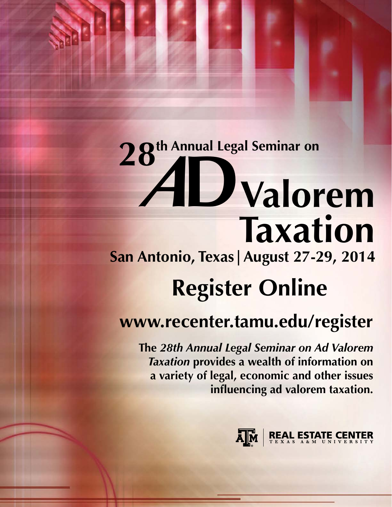## **28th Annual Legal Seminar on** *<sup>A</sup>***DValorem Taxation San Antonio, Texas|August 27-29, 2014**

### **Register Online**

### **www.recenter.tamu.edu/register**

**The** *28th Annual Legal Seminar on Ad Valorem Taxation* **provides a wealth of information on a variety of legal, economic and other issues influencing ad valorem taxation.**